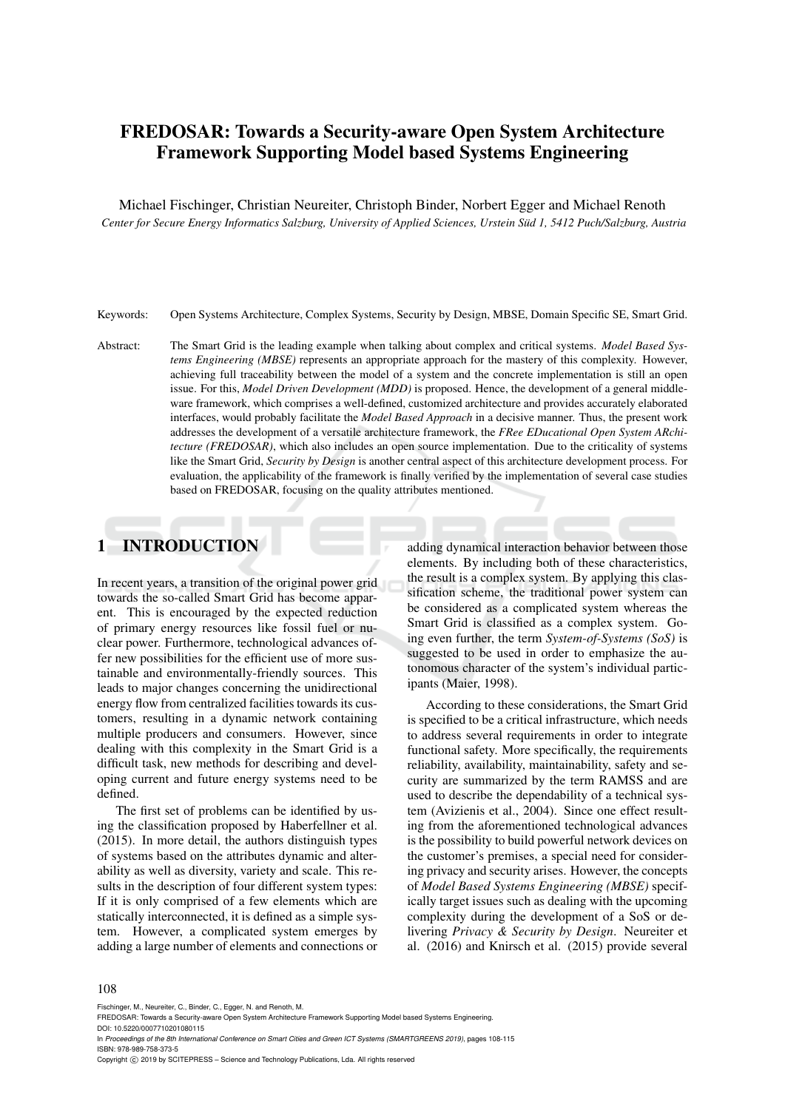# FREDOSAR: Towards a Security-aware Open System Architecture Framework Supporting Model based Systems Engineering

Michael Fischinger, Christian Neureiter, Christoph Binder, Norbert Egger and Michael Renoth *Center for Secure Energy Informatics Salzburg, University of Applied Sciences, Urstein Sud 1, 5412 Puch/Salzburg, Austria ¨*

Keywords: Open Systems Architecture, Complex Systems, Security by Design, MBSE, Domain Specific SE, Smart Grid.

Abstract: The Smart Grid is the leading example when talking about complex and critical systems. *Model Based Systems Engineering (MBSE)* represents an appropriate approach for the mastery of this complexity. However, achieving full traceability between the model of a system and the concrete implementation is still an open issue. For this, *Model Driven Development (MDD)* is proposed. Hence, the development of a general middleware framework, which comprises a well-defined, customized architecture and provides accurately elaborated interfaces, would probably facilitate the *Model Based Approach* in a decisive manner. Thus, the present work addresses the development of a versatile architecture framework, the *FRee EDucational Open System ARchitecture (FREDOSAR)*, which also includes an open source implementation. Due to the criticality of systems like the Smart Grid, *Security by Design* is another central aspect of this architecture development process. For evaluation, the applicability of the framework is finally verified by the implementation of several case studies based on FREDOSAR, focusing on the quality attributes mentioned.

# 1 INTRODUCTION

In recent years, a transition of the original power grid towards the so-called Smart Grid has become apparent. This is encouraged by the expected reduction of primary energy resources like fossil fuel or nuclear power. Furthermore, technological advances offer new possibilities for the efficient use of more sustainable and environmentally-friendly sources. This leads to major changes concerning the unidirectional energy flow from centralized facilities towards its customers, resulting in a dynamic network containing multiple producers and consumers. However, since dealing with this complexity in the Smart Grid is a difficult task, new methods for describing and developing current and future energy systems need to be defined.

The first set of problems can be identified by using the classification proposed by Haberfellner et al. (2015). In more detail, the authors distinguish types of systems based on the attributes dynamic and alterability as well as diversity, variety and scale. This results in the description of four different system types: If it is only comprised of a few elements which are statically interconnected, it is defined as a simple system. However, a complicated system emerges by adding a large number of elements and connections or

adding dynamical interaction behavior between those elements. By including both of these characteristics, the result is a complex system. By applying this classification scheme, the traditional power system can be considered as a complicated system whereas the Smart Grid is classified as a complex system. Going even further, the term *System-of-Systems (SoS)* is suggested to be used in order to emphasize the autonomous character of the system's individual participants (Maier, 1998).

According to these considerations, the Smart Grid is specified to be a critical infrastructure, which needs to address several requirements in order to integrate functional safety. More specifically, the requirements reliability, availability, maintainability, safety and security are summarized by the term RAMSS and are used to describe the dependability of a technical system (Avizienis et al., 2004). Since one effect resulting from the aforementioned technological advances is the possibility to build powerful network devices on the customer's premises, a special need for considering privacy and security arises. However, the concepts of *Model Based Systems Engineering (MBSE)* specifically target issues such as dealing with the upcoming complexity during the development of a SoS or delivering *Privacy & Security by Design*. Neureiter et al. (2016) and Knirsch et al. (2015) provide several

#### 108

Fischinger, M., Neureiter, C., Binder, C., Egger, N. and Renoth, M.

FREDOSAR: Towards a Security-aware Open System Architecture Framework Supporting Model based Systems Engineering. DOI: 10.5220/0007710201080115

In *Proceedings of the 8th International Conference on Smart Cities and Green ICT Systems (SMARTGREENS 2019)*, pages 108-115 ISBN: 978-989-758-373-5

Copyright (C) 2019 by SCITEPRESS - Science and Technology Publications, Lda. All rights reserved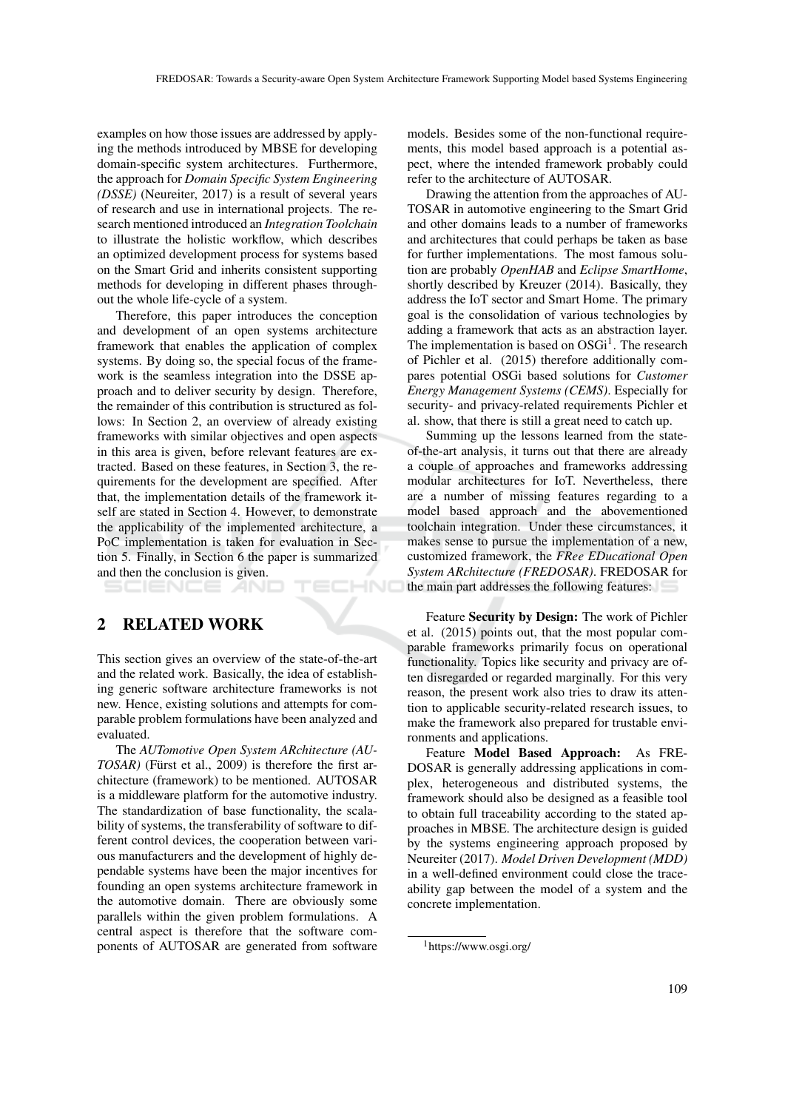examples on how those issues are addressed by applying the methods introduced by MBSE for developing domain-specific system architectures. Furthermore, the approach for *Domain Specific System Engineering (DSSE)* (Neureiter, 2017) is a result of several years of research and use in international projects. The research mentioned introduced an *Integration Toolchain* to illustrate the holistic workflow, which describes an optimized development process for systems based on the Smart Grid and inherits consistent supporting methods for developing in different phases throughout the whole life-cycle of a system.

Therefore, this paper introduces the conception and development of an open systems architecture framework that enables the application of complex systems. By doing so, the special focus of the framework is the seamless integration into the DSSE approach and to deliver security by design. Therefore, the remainder of this contribution is structured as follows: In Section 2, an overview of already existing frameworks with similar objectives and open aspects in this area is given, before relevant features are extracted. Based on these features, in Section 3, the requirements for the development are specified. After that, the implementation details of the framework itself are stated in Section 4. However, to demonstrate the applicability of the implemented architecture, a PoC implementation is taken for evaluation in Section 5. Finally, in Section 6 the paper is summarized and then the conclusion is given.

## 2 RELATED WORK

SCIENCE *A*NI

This section gives an overview of the state-of-the-art and the related work. Basically, the idea of establishing generic software architecture frameworks is not new. Hence, existing solutions and attempts for comparable problem formulations have been analyzed and evaluated.

 $\mathsf{H}$ 

The *AUTomotive Open System ARchitecture (AU-TOSAR*) (Fürst et al., 2009) is therefore the first architecture (framework) to be mentioned. AUTOSAR is a middleware platform for the automotive industry. The standardization of base functionality, the scalability of systems, the transferability of software to different control devices, the cooperation between various manufacturers and the development of highly dependable systems have been the major incentives for founding an open systems architecture framework in the automotive domain. There are obviously some parallels within the given problem formulations. A central aspect is therefore that the software components of AUTOSAR are generated from software

models. Besides some of the non-functional requirements, this model based approach is a potential aspect, where the intended framework probably could refer to the architecture of AUTOSAR.

Drawing the attention from the approaches of AU-TOSAR in automotive engineering to the Smart Grid and other domains leads to a number of frameworks and architectures that could perhaps be taken as base for further implementations. The most famous solution are probably *OpenHAB* and *Eclipse SmartHome*, shortly described by Kreuzer (2014). Basically, they address the IoT sector and Smart Home. The primary goal is the consolidation of various technologies by adding a framework that acts as an abstraction layer. The implementation is based on  $OSGi<sup>1</sup>$ . The research of Pichler et al. (2015) therefore additionally compares potential OSGi based solutions for *Customer Energy Management Systems (CEMS)*. Especially for security- and privacy-related requirements Pichler et al. show, that there is still a great need to catch up.

Summing up the lessons learned from the stateof-the-art analysis, it turns out that there are already a couple of approaches and frameworks addressing modular architectures for IoT. Nevertheless, there are a number of missing features regarding to a model based approach and the abovementioned toolchain integration. Under these circumstances, it makes sense to pursue the implementation of a new, customized framework, the *FRee EDucational Open System ARchitecture (FREDOSAR)*. FREDOSAR for the main part addresses the following features:

Feature Security by Design: The work of Pichler et al. (2015) points out, that the most popular comparable frameworks primarily focus on operational functionality. Topics like security and privacy are often disregarded or regarded marginally. For this very reason, the present work also tries to draw its attention to applicable security-related research issues, to make the framework also prepared for trustable environments and applications.

Feature Model Based Approach: As FRE-DOSAR is generally addressing applications in complex, heterogeneous and distributed systems, the framework should also be designed as a feasible tool to obtain full traceability according to the stated approaches in MBSE. The architecture design is guided by the systems engineering approach proposed by Neureiter (2017). *Model Driven Development (MDD)* in a well-defined environment could close the traceability gap between the model of a system and the concrete implementation.

<sup>1</sup>https://www.osgi.org/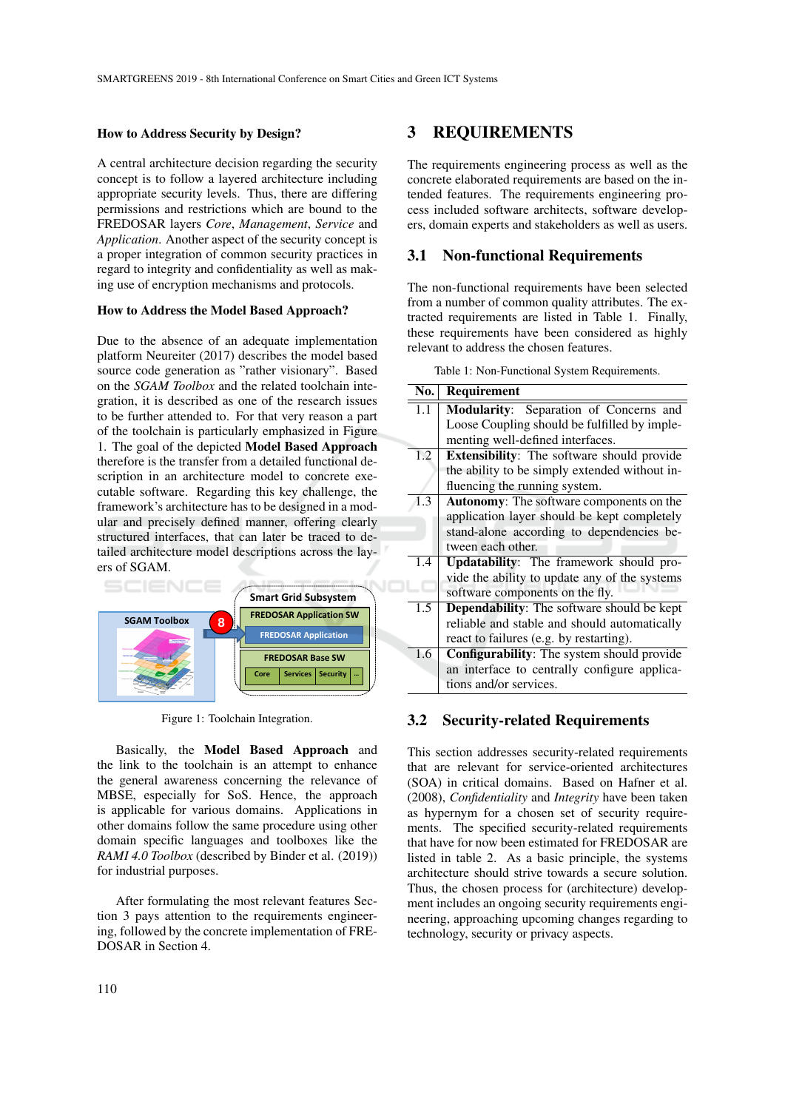### How to Address Security by Design?

A central architecture decision regarding the security concept is to follow a layered architecture including appropriate security levels. Thus, there are differing permissions and restrictions which are bound to the FREDOSAR layers *Core*, *Management*, *Service* and *Application*. Another aspect of the security concept is a proper integration of common security practices in regard to integrity and confidentiality as well as making use of encryption mechanisms and protocols.

### How to Address the Model Based Approach?

Due to the absence of an adequate implementation platform Neureiter (2017) describes the model based source code generation as "rather visionary". Based on the *SGAM Toolbox* and the related toolchain integration, it is described as one of the research issues to be further attended to. For that very reason a part of the toolchain is particularly emphasized in Figure 1. The goal of the depicted Model Based Approach therefore is the transfer from a detailed functional description in an architecture model to concrete executable software. Regarding this key challenge, the framework's architecture has to be designed in a modular and precisely defined manner, offering clearly structured interfaces, that can later be traced to detailed architecture model descriptions across the layers of SGAM.



Figure 1: Toolchain Integration.

Basically, the Model Based Approach and the link to the toolchain is an attempt to enhance the general awareness concerning the relevance of MBSE, especially for SoS. Hence, the approach is applicable for various domains. Applications in other domains follow the same procedure using other domain specific languages and toolboxes like the *RAMI 4.0 Toolbox* (described by Binder et al. (2019)) for industrial purposes.

After formulating the most relevant features Section 3 pays attention to the requirements engineering, followed by the concrete implementation of FRE-DOSAR in Section 4.

## 3 REQUIREMENTS

The requirements engineering process as well as the concrete elaborated requirements are based on the intended features. The requirements engineering process included software architects, software developers, domain experts and stakeholders as well as users.

### 3.1 Non-functional Requirements

The non-functional requirements have been selected from a number of common quality attributes. The extracted requirements are listed in Table 1. Finally, these requirements have been considered as highly relevant to address the chosen features.

Table 1: Non-Functional System Requirements.

| No. | Requirement                                       |
|-----|---------------------------------------------------|
| 1.1 | Modularity: Separation of Concerns and            |
|     | Loose Coupling should be fulfilled by imple-      |
|     | menting well-defined interfaces.                  |
| 1.2 | <b>Extensibility:</b> The software should provide |
|     | the ability to be simply extended without in-     |
|     | fluencing the running system.                     |
| 1.3 | Autonomy: The software components on the          |
|     | application layer should be kept completely       |
|     | stand-alone according to dependencies be-         |
|     | tween each other.                                 |
| 1.4 | Updatability: The framework should pro-           |
|     | vide the ability to update any of the systems     |
|     | software components on the fly.                   |
| 1.5 | Dependability: The software should be kept        |
|     | reliable and stable and should automatically      |
|     | react to failures (e.g. by restarting).           |
| 1.6 | <b>Configurability:</b> The system should provide |
|     | an interface to centrally configure applica-      |
|     | tions and/or services.                            |

### 3.2 Security-related Requirements

This section addresses security-related requirements that are relevant for service-oriented architectures (SOA) in critical domains. Based on Hafner et al. (2008), *Confidentiality* and *Integrity* have been taken as hypernym for a chosen set of security requirements. The specified security-related requirements that have for now been estimated for FREDOSAR are listed in table 2. As a basic principle, the systems architecture should strive towards a secure solution. Thus, the chosen process for (architecture) development includes an ongoing security requirements engineering, approaching upcoming changes regarding to technology, security or privacy aspects.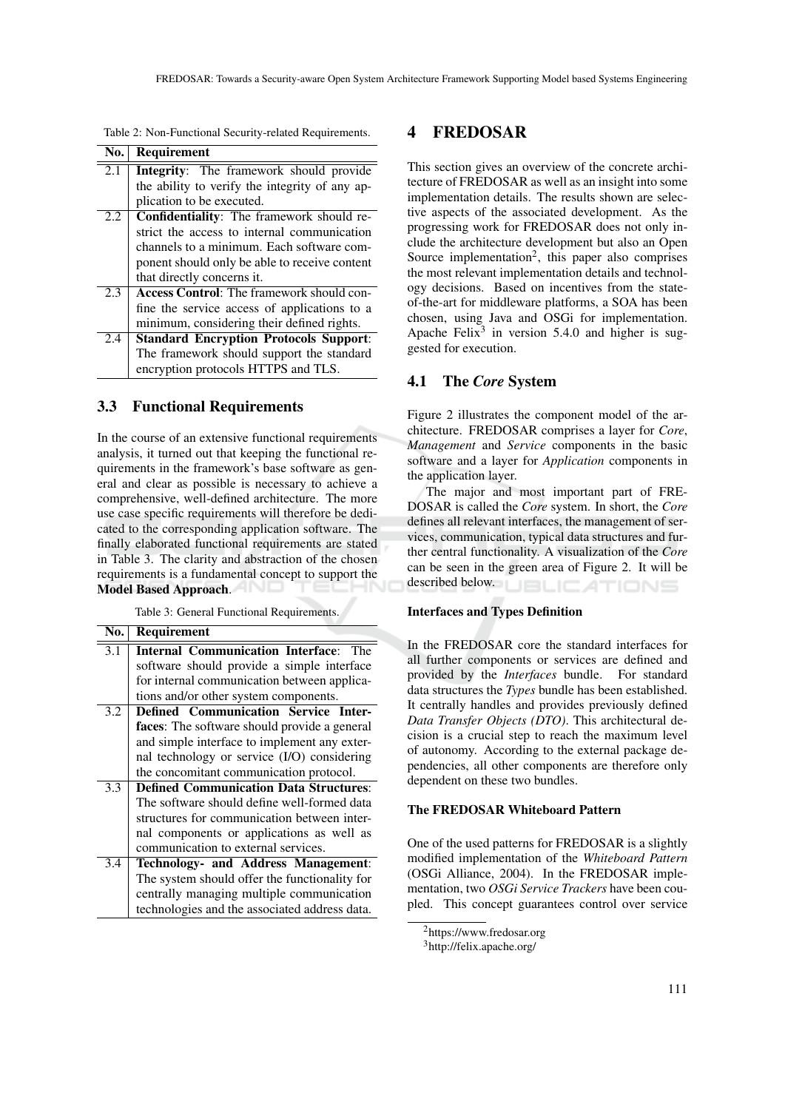| No. | <b>Requirement</b>                               |
|-----|--------------------------------------------------|
| 2.1 | <b>Integrity:</b> The framework should provide   |
|     | the ability to verify the integrity of any ap-   |
|     | plication to be executed.                        |
| 2.2 | <b>Confidentiality:</b> The framework should re- |
|     | strict the access to internal communication      |
|     | channels to a minimum. Each software com-        |
|     | ponent should only be able to receive content    |
|     | that directly concerns it.                       |
| 2.3 | <b>Access Control:</b> The framework should con- |
|     | fine the service access of applications to a     |
|     | minimum, considering their defined rights.       |
| 2.4 | <b>Standard Encryption Protocols Support:</b>    |
|     | The framework should support the standard        |
|     | encryption protocols HTTPS and TLS.              |

Table 2: Non-Functional Security-related Requirements.

### 3.3 Functional Requirements

In the course of an extensive functional requirements analysis, it turned out that keeping the functional requirements in the framework's base software as general and clear as possible is necessary to achieve a comprehensive, well-defined architecture. The more use case specific requirements will therefore be dedicated to the corresponding application software. The finally elaborated functional requirements are stated in Table 3. The clarity and abstraction of the chosen requirements is a fundamental concept to support the Model Based Approach.

Table 3: General Functional Requirements.

| No.              | Requirement                                   |
|------------------|-----------------------------------------------|
| 3.1              | <b>Internal Communication Interface:</b> The  |
|                  | software should provide a simple interface    |
|                  | for internal communication between applica-   |
|                  | tions and/or other system components.         |
| 3.2              | <b>Defined Communication Service Inter-</b>   |
|                  | faces: The software should provide a general  |
|                  | and simple interface to implement any exter-  |
|                  | nal technology or service (I/O) considering   |
|                  | the concomitant communication protocol.       |
| 3.3              | <b>Defined Communication Data Structures:</b> |
|                  | The software should define well-formed data   |
|                  | structures for communication between inter-   |
|                  | nal components or applications as well as     |
|                  | communication to external services.           |
| $\overline{3.4}$ | Technology- and Address Management:           |
|                  | The system should offer the functionality for |
|                  | centrally managing multiple communication     |
|                  | technologies and the associated address data. |

## 4 FREDOSAR

This section gives an overview of the concrete architecture of FREDOSAR as well as an insight into some implementation details. The results shown are selective aspects of the associated development. As the progressing work for FREDOSAR does not only include the architecture development but also an Open Source implementation<sup>2</sup>, this paper also comprises the most relevant implementation details and technology decisions. Based on incentives from the stateof-the-art for middleware platforms, a SOA has been chosen, using Java and OSGi for implementation. Apache Felix<sup>3</sup> in version 5.4.0 and higher is suggested for execution.

## 4.1 The *Core* System

Figure 2 illustrates the component model of the architecture. FREDOSAR comprises a layer for *Core*, *Management* and *Service* components in the basic software and a layer for *Application* components in the application layer.

The major and most important part of FRE-DOSAR is called the *Core* system. In short, the *Core* defines all relevant interfaces, the management of services, communication, typical data structures and further central functionality. A visualization of the *Core* can be seen in the green area of Figure 2. It will be described below. **JBLICATIONS** 

### Interfaces and Types Definition

In the FREDOSAR core the standard interfaces for all further components or services are defined and provided by the *Interfaces* bundle. For standard data structures the *Types* bundle has been established. It centrally handles and provides previously defined *Data Transfer Objects (DTO)*. This architectural decision is a crucial step to reach the maximum level of autonomy. According to the external package dependencies, all other components are therefore only dependent on these two bundles.

### The FREDOSAR Whiteboard Pattern

One of the used patterns for FREDOSAR is a slightly modified implementation of the *Whiteboard Pattern* (OSGi Alliance, 2004). In the FREDOSAR implementation, two *OSGi Service Trackers* have been coupled. This concept guarantees control over service

<sup>2</sup>https://www.fredosar.org

<sup>3</sup>http://felix.apache.org/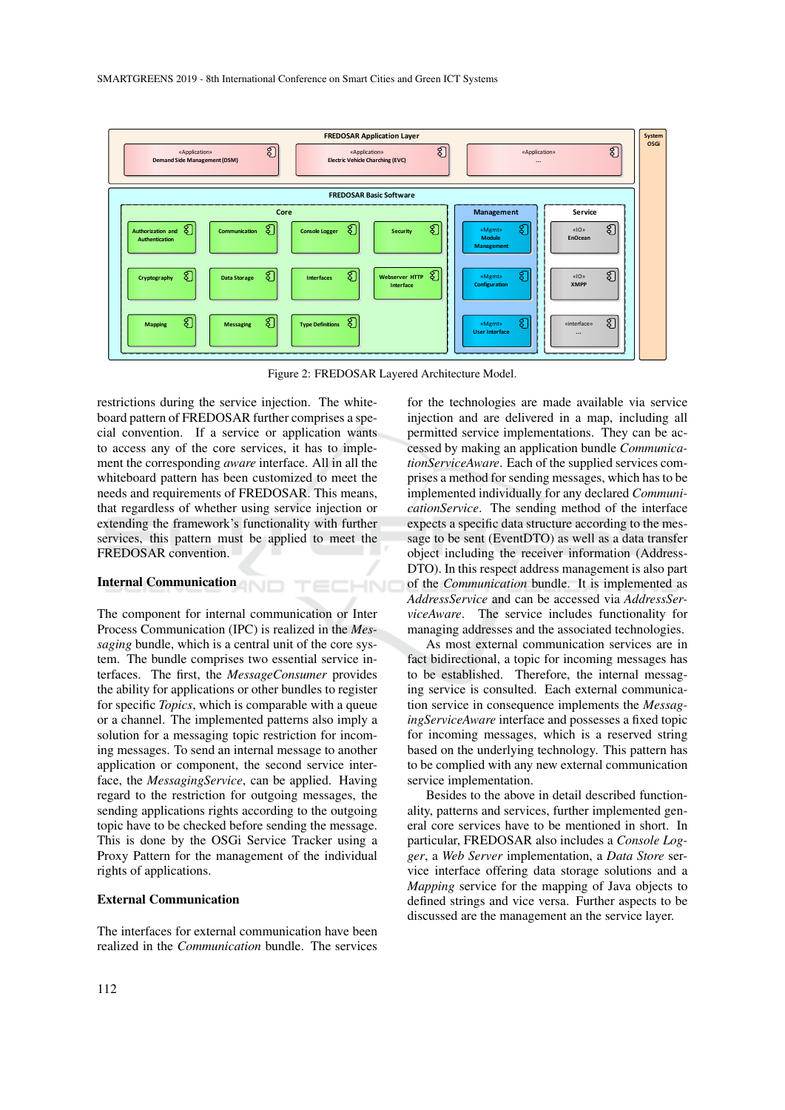

Figure 2: FREDOSAR Layered Architecture Model.

TECHNO

restrictions during the service injection. The whiteboard pattern of FREDOSAR further comprises a special convention. If a service or application wants to access any of the core services, it has to implement the corresponding *aware* interface. All in all the whiteboard pattern has been customized to meet the needs and requirements of FREDOSAR. This means, that regardless of whether using service injection or extending the framework's functionality with further services, this pattern must be applied to meet the FREDOSAR convention.

# Internal Communication

The component for internal communication or Inter Process Communication (IPC) is realized in the *Messaging* bundle, which is a central unit of the core system. The bundle comprises two essential service interfaces. The first, the *MessageConsumer* provides the ability for applications or other bundles to register for specific *Topics*, which is comparable with a queue or a channel. The implemented patterns also imply a solution for a messaging topic restriction for incoming messages. To send an internal message to another application or component, the second service interface, the *MessagingService*, can be applied. Having regard to the restriction for outgoing messages, the sending applications rights according to the outgoing topic have to be checked before sending the message. This is done by the OSGi Service Tracker using a Proxy Pattern for the management of the individual rights of applications.

### External Communication

The interfaces for external communication have been realized in the *Communication* bundle. The services

for the technologies are made available via service injection and are delivered in a map, including all permitted service implementations. They can be accessed by making an application bundle *CommunicationServiceAware*. Each of the supplied services comprises a method for sending messages, which has to be implemented individually for any declared *CommunicationService*. The sending method of the interface expects a specific data structure according to the message to be sent (EventDTO) as well as a data transfer object including the receiver information (Address-DTO). In this respect address management is also part of the *Communication* bundle. It is implemented as *AddressService* and can be accessed via *AddressServiceAware*. The service includes functionality for managing addresses and the associated technologies.

As most external communication services are in fact bidirectional, a topic for incoming messages has to be established. Therefore, the internal messaging service is consulted. Each external communication service in consequence implements the *MessagingServiceAware* interface and possesses a fixed topic for incoming messages, which is a reserved string based on the underlying technology. This pattern has to be complied with any new external communication service implementation.

Besides to the above in detail described functionality, patterns and services, further implemented general core services have to be mentioned in short. In particular, FREDOSAR also includes a *Console Logger*, a *Web Server* implementation, a *Data Store* service interface offering data storage solutions and a *Mapping* service for the mapping of Java objects to defined strings and vice versa. Further aspects to be discussed are the management an the service layer.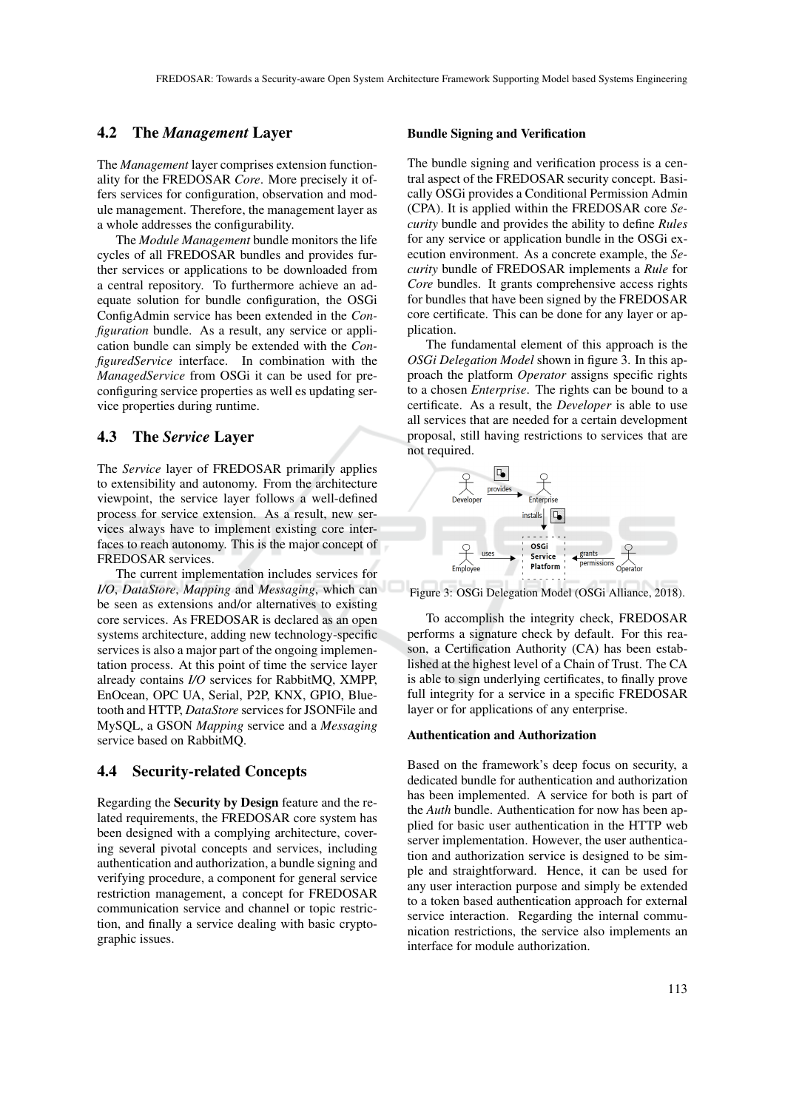## 4.2 The *Management* Layer

The *Management* layer comprises extension functionality for the FREDOSAR *Core*. More precisely it offers services for configuration, observation and module management. Therefore, the management layer as a whole addresses the configurability.

The *Module Management* bundle monitors the life cycles of all FREDOSAR bundles and provides further services or applications to be downloaded from a central repository. To furthermore achieve an adequate solution for bundle configuration, the OSGi ConfigAdmin service has been extended in the *Configuration* bundle. As a result, any service or application bundle can simply be extended with the *ConfiguredService* interface. In combination with the *ManagedService* from OSGi it can be used for preconfiguring service properties as well es updating service properties during runtime.

### 4.3 The *Service* Layer

The *Service* layer of FREDOSAR primarily applies to extensibility and autonomy. From the architecture viewpoint, the service layer follows a well-defined process for service extension. As a result, new services always have to implement existing core interfaces to reach autonomy. This is the major concept of FREDOSAR services.

The current implementation includes services for *I/O*, *DataStore*, *Mapping* and *Messaging*, which can be seen as extensions and/or alternatives to existing core services. As FREDOSAR is declared as an open systems architecture, adding new technology-specific services is also a major part of the ongoing implementation process. At this point of time the service layer already contains *I/O* services for RabbitMQ, XMPP, EnOcean, OPC UA, Serial, P2P, KNX, GPIO, Bluetooth and HTTP, *DataStore* services for JSONFile and MySQL, a GSON *Mapping* service and a *Messaging* service based on RabbitMQ.

## 4.4 Security-related Concepts

Regarding the Security by Design feature and the related requirements, the FREDOSAR core system has been designed with a complying architecture, covering several pivotal concepts and services, including authentication and authorization, a bundle signing and verifying procedure, a component for general service restriction management, a concept for FREDOSAR communication service and channel or topic restriction, and finally a service dealing with basic cryptographic issues.

### Bundle Signing and Verification

The bundle signing and verification process is a central aspect of the FREDOSAR security concept. Basically OSGi provides a Conditional Permission Admin (CPA). It is applied within the FREDOSAR core *Security* bundle and provides the ability to define *Rules* for any service or application bundle in the OSGi execution environment. As a concrete example, the *Security* bundle of FREDOSAR implements a *Rule* for *Core* bundles. It grants comprehensive access rights for bundles that have been signed by the FREDOSAR core certificate. This can be done for any layer or application.

The fundamental element of this approach is the *OSGi Delegation Model* shown in figure 3. In this approach the platform *Operator* assigns specific rights to a chosen *Enterprise*. The rights can be bound to a certificate. As a result, the *Developer* is able to use all services that are needed for a certain development proposal, still having restrictions to services that are not required.



Figure 3: OSGi Delegation Model (OSGi Alliance, 2018).

To accomplish the integrity check, FREDOSAR performs a signature check by default. For this reason, a Certification Authority (CA) has been established at the highest level of a Chain of Trust. The CA is able to sign underlying certificates, to finally prove full integrity for a service in a specific FREDOSAR layer or for applications of any enterprise.

### Authentication and Authorization

Based on the framework's deep focus on security, a dedicated bundle for authentication and authorization has been implemented. A service for both is part of the *Auth* bundle. Authentication for now has been applied for basic user authentication in the HTTP web server implementation. However, the user authentication and authorization service is designed to be simple and straightforward. Hence, it can be used for any user interaction purpose and simply be extended to a token based authentication approach for external service interaction. Regarding the internal communication restrictions, the service also implements an interface for module authorization.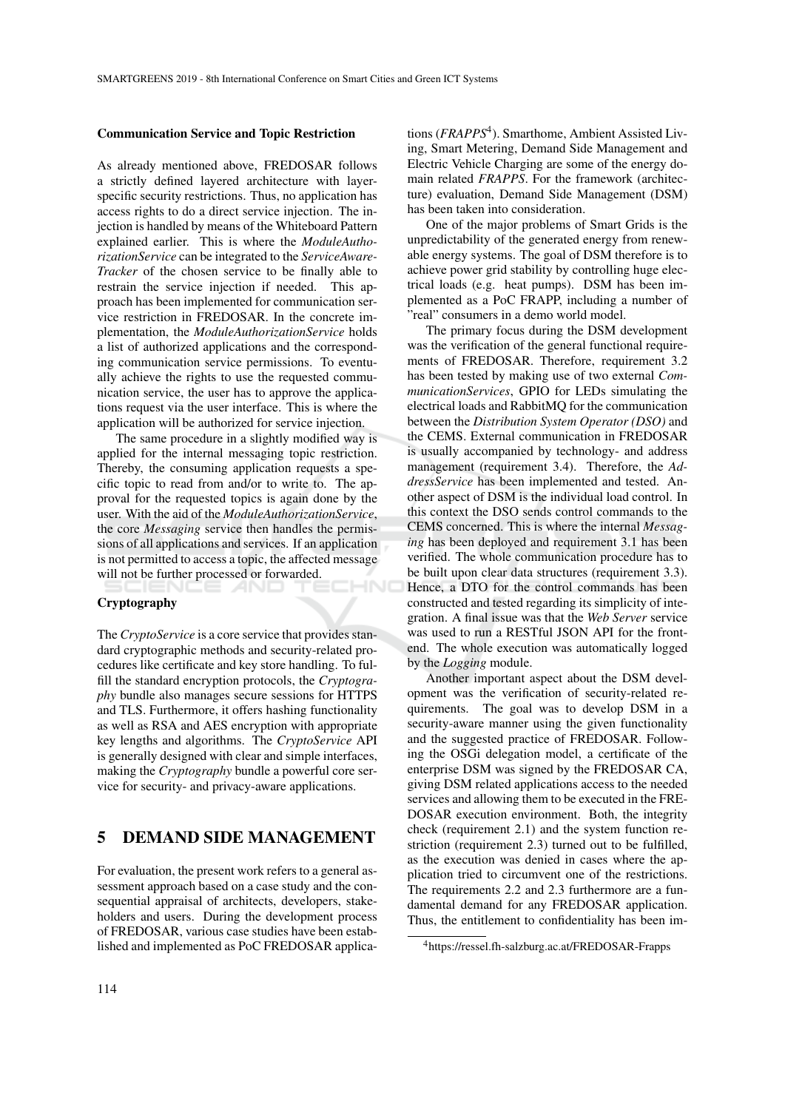#### Communication Service and Topic Restriction

As already mentioned above, FREDOSAR follows a strictly defined layered architecture with layerspecific security restrictions. Thus, no application has access rights to do a direct service injection. The injection is handled by means of the Whiteboard Pattern explained earlier. This is where the *ModuleAuthorizationService* can be integrated to the *ServiceAware-Tracker* of the chosen service to be finally able to restrain the service injection if needed. This approach has been implemented for communication service restriction in FREDOSAR. In the concrete implementation, the *ModuleAuthorizationService* holds a list of authorized applications and the corresponding communication service permissions. To eventually achieve the rights to use the requested communication service, the user has to approve the applications request via the user interface. This is where the application will be authorized for service injection.

The same procedure in a slightly modified way is applied for the internal messaging topic restriction. Thereby, the consuming application requests a specific topic to read from and/or to write to. The approval for the requested topics is again done by the user. With the aid of the *ModuleAuthorizationService*, the core *Messaging* service then handles the permissions of all applications and services. If an application is not permitted to access a topic, the affected message will not be further processed or forwarded. -INC

### Cryptography

The *CryptoService* is a core service that provides standard cryptographic methods and security-related procedures like certificate and key store handling. To fulfill the standard encryption protocols, the *Cryptography* bundle also manages secure sessions for HTTPS and TLS. Furthermore, it offers hashing functionality as well as RSA and AES encryption with appropriate key lengths and algorithms. The *CryptoService* API is generally designed with clear and simple interfaces, making the *Cryptography* bundle a powerful core service for security- and privacy-aware applications.

## 5 DEMAND SIDE MANAGEMENT

For evaluation, the present work refers to a general assessment approach based on a case study and the consequential appraisal of architects, developers, stakeholders and users. During the development process of FREDOSAR, various case studies have been established and implemented as PoC FREDOSAR applica-

tions (*FRAPPS*<sup>4</sup>). Smarthome, Ambient Assisted Living, Smart Metering, Demand Side Management and Electric Vehicle Charging are some of the energy domain related *FRAPPS*. For the framework (architecture) evaluation, Demand Side Management (DSM) has been taken into consideration.

One of the major problems of Smart Grids is the unpredictability of the generated energy from renewable energy systems. The goal of DSM therefore is to achieve power grid stability by controlling huge electrical loads (e.g. heat pumps). DSM has been implemented as a PoC FRAPP, including a number of "real" consumers in a demo world model.

The primary focus during the DSM development was the verification of the general functional requirements of FREDOSAR. Therefore, requirement 3.2 has been tested by making use of two external *CommunicationServices*, GPIO for LEDs simulating the electrical loads and RabbitMQ for the communication between the *Distribution System Operator (DSO)* and the CEMS. External communication in FREDOSAR is usually accompanied by technology- and address management (requirement 3.4). Therefore, the *AddressService* has been implemented and tested. Another aspect of DSM is the individual load control. In this context the DSO sends control commands to the CEMS concerned. This is where the internal *Messaging* has been deployed and requirement 3.1 has been verified. The whole communication procedure has to be built upon clear data structures (requirement 3.3). Hence, a DTO for the control commands has been constructed and tested regarding its simplicity of integration. A final issue was that the *Web Server* service was used to run a RESTful JSON API for the frontend. The whole execution was automatically logged by the *Logging* module.

Another important aspect about the DSM development was the verification of security-related requirements. The goal was to develop DSM in a security-aware manner using the given functionality and the suggested practice of FREDOSAR. Following the OSGi delegation model, a certificate of the enterprise DSM was signed by the FREDOSAR CA, giving DSM related applications access to the needed services and allowing them to be executed in the FRE-DOSAR execution environment. Both, the integrity check (requirement 2.1) and the system function restriction (requirement 2.3) turned out to be fulfilled, as the execution was denied in cases where the application tried to circumvent one of the restrictions. The requirements 2.2 and 2.3 furthermore are a fundamental demand for any FREDOSAR application. Thus, the entitlement to confidentiality has been im-

<sup>4</sup>https://ressel.fh-salzburg.ac.at/FREDOSAR-Frapps